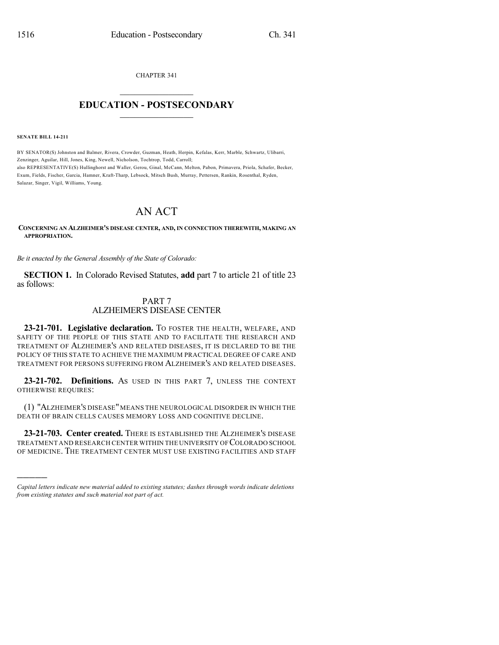CHAPTER 341

## $\overline{\phantom{a}}$  . The set of the set of the set of the set of the set of the set of the set of the set of the set of the set of the set of the set of the set of the set of the set of the set of the set of the set of the set o **EDUCATION - POSTSECONDARY**  $\_$   $\_$   $\_$   $\_$   $\_$   $\_$   $\_$   $\_$   $\_$

**SENATE BILL 14-211**

)))))

BY SENATOR(S) Johnston and Balmer, Rivera, Crowder, Guzman, Heath, Herpin, Kefalas, Kerr, Marble, Schwartz, Ulibarri, Zenzinger, Aguilar, Hill, Jones, King, Newell, Nicholson, Tochtrop, Todd, Carroll; also REPRESENTATIVE(S) Hullinghorst and Waller, Gerou, Ginal, McCann, Melton, Pabon, Primavera, Priola, Schafer, Becker, Exum, Fields, Fischer, Garcia, Hamner, Kraft-Tharp, Lebsock, Mitsch Bush, Murray, Pettersen, Rankin, Rosenthal, Ryden, Salazar, Singer, Vigil, Williams, Young.

## AN ACT

**CONCERNING AN ALZHEIMER'S DISEASE CENTER, AND, IN CONNECTION THEREWITH, MAKING AN APPROPRIATION.**

*Be it enacted by the General Assembly of the State of Colorado:*

**SECTION 1.** In Colorado Revised Statutes, **add** part 7 to article 21 of title 23 as follows:

## PART 7 ALZHEIMER'S DISEASE CENTER

**23-21-701. Legislative declaration.** TO FOSTER THE HEALTH, WELFARE, AND SAFETY OF THE PEOPLE OF THIS STATE AND TO FACILITATE THE RESEARCH AND TREATMENT OF ALZHEIMER'S AND RELATED DISEASES, IT IS DECLARED TO BE THE POLICY OF THIS STATE TO ACHIEVE THE MAXIMUM PRACTICAL DEGREE OF CARE AND TREATMENT FOR PERSONS SUFFERING FROM ALZHEIMER'S AND RELATED DISEASES.

**23-21-702. Definitions.** AS USED IN THIS PART 7, UNLESS THE CONTEXT OTHERWISE REQUIRES:

(1) "ALZHEIMER'S DISEASE"MEANS THE NEUROLOGICAL DISORDER IN WHICH THE DEATH OF BRAIN CELLS CAUSES MEMORY LOSS AND COGNITIVE DECLINE.

**23-21-703. Center created.** THERE IS ESTABLISHED THE ALZHEIMER'S DISEASE TREATMENT AND RESEARCH CENTER WITHIN THE UNIVERSITY OF COLORADO SCHOOL OF MEDICINE. THE TREATMENT CENTER MUST USE EXISTING FACILITIES AND STAFF

*Capital letters indicate new material added to existing statutes; dashes through words indicate deletions from existing statutes and such material not part of act.*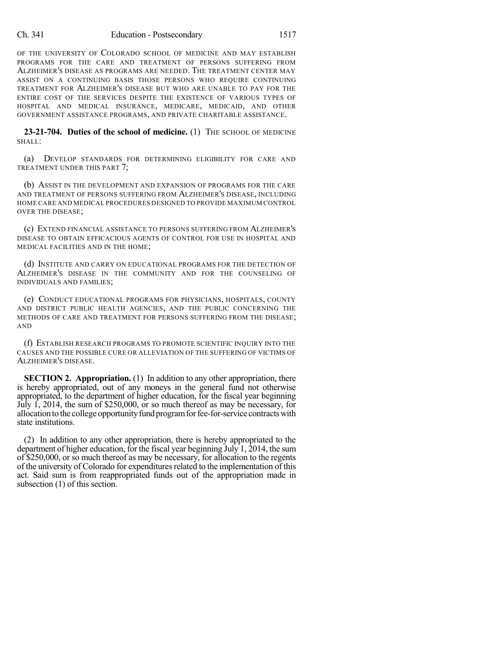OF THE UNIVERSITY OF COLORADO SCHOOL OF MEDICINE AND MAY ESTABLISH PROGRAMS FOR THE CARE AND TREATMENT OF PERSONS SUFFERING FROM ALZHEIMER'S DISEASE AS PROGRAMS ARE NEEDED. THE TREATMENT CENTER MAY ASSIST ON A CONTINUING BASIS THOSE PERSONS WHO REQUIRE CONTINUING TREATMENT FOR ALZHEIMER'S DISEASE BUT WHO ARE UNABLE TO PAY FOR THE ENTIRE COST OF THE SERVICES DESPITE THE EXISTENCE OF VARIOUS TYPES OF HOSPITAL AND MEDICAL INSURANCE, MEDICARE, MEDICAID, AND OTHER GOVERNMENT ASSISTANCE PROGRAMS, AND PRIVATE CHARITABLE ASSISTANCE.

**23-21-704. Duties of the school of medicine.** (1) THE SCHOOL OF MEDICINE SHALL:

(a) DEVELOP STANDARDS FOR DETERMINING ELIGIBILITY FOR CARE AND TREATMENT UNDER THIS PART 7;

(b) ASSIST IN THE DEVELOPMENT AND EXPANSION OF PROGRAMS FOR THE CARE AND TREATMENT OF PERSONS SUFFERING FROM ALZHEIMER'S DISEASE, INCLUDING HOME CARE AND MEDICAL PROCEDURES DESIGNED TO PROVIDE MAXIMUM CONTROL OVER THE DISEASE;

(c) EXTEND FINANCIAL ASSISTANCE TO PERSONS SUFFERING FROM ALZHEIMER'S DISEASE TO OBTAIN EFFICACIOUS AGENTS OF CONTROL FOR USE IN HOSPITAL AND MEDICAL FACILITIES AND IN THE HOME;

(d) INSTITUTE AND CARRY ON EDUCATIONAL PROGRAMS FOR THE DETECTION OF ALZHEIMER'S DISEASE IN THE COMMUNITY AND FOR THE COUNSELING OF INDIVIDUALS AND FAMILIES;

(e) CONDUCT EDUCATIONAL PROGRAMS FOR PHYSICIANS, HOSPITALS, COUNTY AND DISTRICT PUBLIC HEALTH AGENCIES, AND THE PUBLIC CONCERNING THE METHODS OF CARE AND TREATMENT FOR PERSONS SUFFERING FROM THE DISEASE; AND

(f) ESTABLISH RESEARCH PROGRAMS TO PROMOTE SCIENTIFIC INQUIRY INTO THE CAUSES AND THE POSSIBLE CURE OR ALLEVIATION OF THE SUFFERING OF VICTIMS OF ALZHEIMER'S DISEASE.

**SECTION 2. Appropriation.** (1) In addition to any other appropriation, there is hereby appropriated, out of any moneys in the general fund not otherwise appropriated, to the department of higher education, for the fiscal year beginning July 1, 2014, the sum of \$250,000, or so much thereof as may be necessary, for allocation to the college opportunity fund program for fee-for-service contracts with state institutions.

(2) In addition to any other appropriation, there is hereby appropriated to the department of higher education, for the fiscal year beginning July 1, 2014, the sum of \$250,000, or so much thereof as may be necessary, for allocation to the regents of the university of Colorado for expenditures related to the implementation of this act. Said sum is from reappropriated funds out of the appropriation made in subsection (1) of this section.